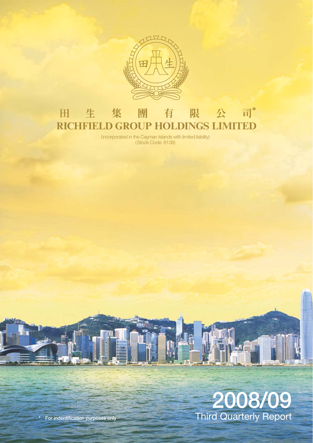

## **田生集團有限公司\***<br>RICHFIELD GROUP HOLDINGS LIMITED 田 生 集 團

(incorporated in the Cayman Islands with limited liability) (Stock Code: 8136)

# **2008/09** Third Quarterly Report

 $\mathbf{h}$ 

**\* For indentification purposes only**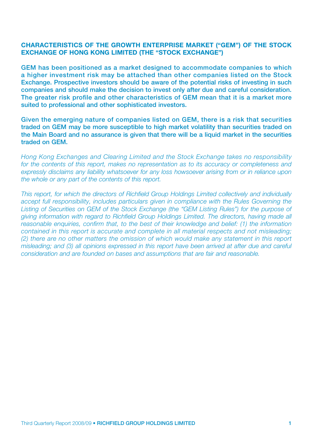#### **CHARACTERISTICS OF THE GROWTH ENTERPRISE MARKET ("GEM") OF THE STOCK EXCHANGE OF HONG KONG LIMITED (THE "STOCK EXCHANGE")**

**GEM has been positioned as a market designed to accommodate companies to which a higher investment risk may be attached than other companies listed on the Stock Exchange. Prospective investors should be aware of the potential risks of investing in such companies and should make the decision to invest only after due and careful consideration. The greater risk profile and other characteristics of GEM mean that it is a market more suited to professional and other sophisticated investors.**

**Given the emerging nature of companies listed on GEM, there is a risk that securities traded on GEM may be more susceptible to high market volatility than securities traded on the Main Board and no assurance is given that there will be a liquid market in the securities traded on GEM.**

*Hong Kong Exchanges and Clearing Limited and the Stock Exchange takes no responsibility for the contents of this report, makes no representation as to its accuracy or completeness and expressly disclaims any liability whatsoever for any loss howsoever arising from or in reliance upon the whole or any part of the contents of this report.*

*This report, for which the directors of Richfield Group Holdings Limited collectively and individually accept full responsibility, includes particulars given in compliance with the Rules Governing the* Listing of Securities on GEM of the Stock Exchange (the "GEM Listing Rules") for the purpose of *giving information with regard to Richfield Group Holdings Limited. The directors, having made all reasonable enquiries, confirm that, to the best of their knowledge and belief: (1) the information contained in this report is accurate and complete in all material respects and not misleading; (2) there are no other matters the omission of which would make any statement in this report misleading; and (3) all opinions expressed in this report have been arrived at after due and careful consideration and are founded on bases and assumptions that are fair and reasonable.*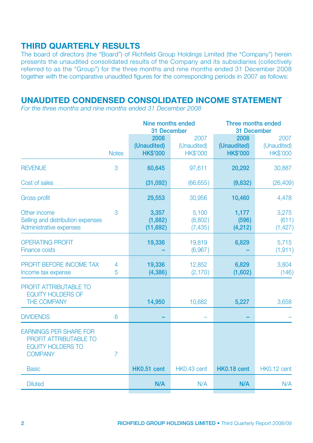## **THIRD QUARTERLY RESULTS**

The board of directors (the "Board") of Richfield Group Holdings Limited (the "Company") herein presents the unaudited consolidated results of the Company and its subsidiaries (collectively referred to as the "Group") for the three months and nine months ended 31 December 2008 together with the comparative unaudited figures for the corresponding periods in 2007 as follows:

# **UNAUDITED CONDENSED CONSOLIDATED INCOME STATEMENT**

*For the three months and nine months ended 31 December 2008*

|                                                                                                              |              | Nine months ended<br>31 December       |                                        | Three months ended<br>31 December      |                                        |
|--------------------------------------------------------------------------------------------------------------|--------------|----------------------------------------|----------------------------------------|----------------------------------------|----------------------------------------|
|                                                                                                              | <b>Notes</b> | 2008<br>(Unaudited)<br><b>HK\$'000</b> | 2007<br>(Unaudited)<br><b>HK\$'000</b> | 2008<br>(Unaudited)<br><b>HK\$'000</b> | 2007<br>(Unaudited)<br><b>HK\$'000</b> |
| <b>REVENUE</b>                                                                                               | 3            | 60,645                                 | 97,611                                 | 20,292                                 | 30,887                                 |
| Cost of sales                                                                                                |              | (31,092)                               | (66, 655)                              | (9,832)                                | (26, 409)                              |
| <b>Gross profit</b>                                                                                          |              | 29,553                                 | 30,956                                 | 10,460                                 | 4,478                                  |
| Other income<br>Selling and distribution expenses<br>Administrative expenses                                 | 3            | 3,357<br>(1,882)<br>(11,692)           | 5,100<br>(8,802)<br>(7, 435)           | 1,177<br>(596)<br>(4,212)              | 3,275<br>(611)<br>(1, 427)             |
| <b>OPERATING PROFIT</b><br><b>Finance costs</b>                                                              |              | 19,336                                 | 19,819<br>(6,967)                      | 6,829                                  | 5,715<br>(1, 911)                      |
| PROFIT BEFORE INCOME TAX<br>Income tax expense                                                               | 4<br>5       | 19,336<br>(4, 386)                     | 12,852<br>(2, 170)                     | 6,829<br>(1,602)                       | 3,804<br>(146)                         |
| <b>PROFIT ATTRIBUTABLE TO</b><br><b>EQUITY HOLDERS OF</b><br><b>THE COMPANY</b>                              |              | 14,950                                 | 10,682                                 | 5,227                                  | 3,658                                  |
| <b>DIVIDENDS</b>                                                                                             | 6            |                                        |                                        |                                        |                                        |
| <b>EARNINGS PER SHARE FOR</b><br><b>PROFIT ATTRIBUTABLE TO</b><br><b>EQUITY HOLDERS TO</b><br><b>COMPANY</b> | 7            |                                        |                                        |                                        |                                        |
| <b>Basic</b>                                                                                                 |              | HK0.51 cent                            | HK0.43 cent                            | HK0.18 cent                            | HK0.12 cent                            |
| <b>Diluted</b>                                                                                               |              | N/A                                    | N/A                                    | N/A                                    | N/A                                    |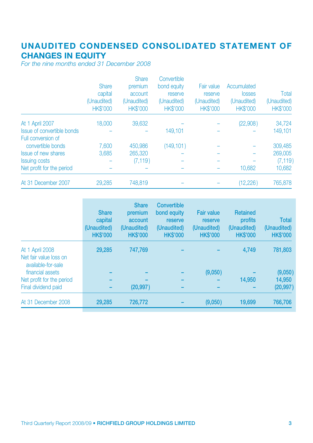# **UNAUDITED CONDENSED CONSOLIDATED STATEMENT OF CHANGES IN EQUITY**

*For the nine months ended 31 December 2008*

|                                                  | <b>Share</b><br>capital<br>(Unaudited)<br><b>HK\$'000</b> | <b>Share</b><br>premium<br>account<br>(Unaudited)<br><b>HK\$'000</b> | Convertible<br>bond equity<br>reserve<br>(Unaudited)<br><b>HK\$'000</b> | Fair value<br>reserve<br>(Unaudited)<br><b>HK\$'000</b> | Accumulated<br>losses<br>(Unaudited)<br><b>HK\$'000</b> | Total<br>(Unaudited)<br><b>HK\$'000</b> |
|--------------------------------------------------|-----------------------------------------------------------|----------------------------------------------------------------------|-------------------------------------------------------------------------|---------------------------------------------------------|---------------------------------------------------------|-----------------------------------------|
| At 1 April 2007                                  | 18,000                                                    | 39,632                                                               |                                                                         |                                                         | (22,908)                                                | 34,724                                  |
| Issue of convertible bonds<br>Full conversion of |                                                           |                                                                      | 149.101                                                                 |                                                         |                                                         | 149,101                                 |
| convertible bonds                                | 7,600                                                     | 450,986                                                              | (149, 101)                                                              |                                                         |                                                         | 309,485                                 |
| <b>Issue of new shares</b>                       | 3,685                                                     | 265,320                                                              |                                                                         |                                                         |                                                         | 269,005                                 |
| <b>Issuing costs</b>                             |                                                           | (7, 119)                                                             |                                                                         |                                                         |                                                         | (7, 119)                                |
| Net profit for the period                        |                                                           |                                                                      |                                                                         |                                                         | 10,682                                                  | 10,682                                  |
| At 31 December 2007                              | 29,285                                                    | 748,819                                                              |                                                                         |                                                         | (12, 226)                                               | 765,878                                 |

|                                                                 | <b>Share</b><br>capital<br>(Unaudited)<br><b>HK\$'000</b> | <b>Share</b><br>premium<br>account<br>(Unaudited)<br><b>HK\$'000</b> | Convertible<br>bond equity<br>reserve<br>(Unaudited)<br><b>HK\$'000</b> | <b>Fair value</b><br>reserve<br>(Unaudited)<br><b>HK\$'000</b> | <b>Retained</b><br>profits<br>(Unaudited)<br><b>HK\$'000</b> | Total<br>(Unaudited)<br><b>HK\$'000</b> |
|-----------------------------------------------------------------|-----------------------------------------------------------|----------------------------------------------------------------------|-------------------------------------------------------------------------|----------------------------------------------------------------|--------------------------------------------------------------|-----------------------------------------|
| At 1 April 2008<br>Net fair value loss on<br>available-for-sale | 29.285                                                    | 747.769                                                              |                                                                         |                                                                | 4.749                                                        | 781,803                                 |
| financial assets                                                |                                                           |                                                                      |                                                                         | (9,050)                                                        |                                                              | (9,050)                                 |
| Net profit for the period                                       |                                                           |                                                                      |                                                                         |                                                                | 14.950                                                       | 14.950                                  |
| Final dividend paid                                             |                                                           | (20, 997)                                                            |                                                                         |                                                                |                                                              | (20, 997)                               |
| At 31 December 2008                                             | 29.285                                                    | 726,772                                                              |                                                                         | (9,050)                                                        | 19,699                                                       | 766,706                                 |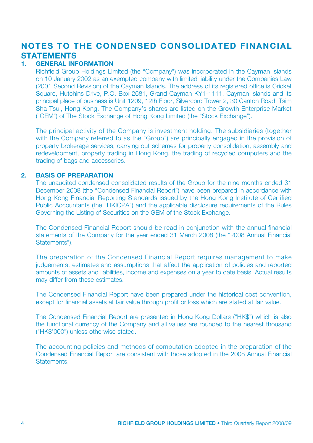# **NOTES TO THE CONDENSED CONSOLIDATED FINANCIAL STATEMENTS**

#### **1. GENERAL INFORMATION**

Richfield Group Holdings Limited (the "Company") was incorporated in the Cayman Islands on 10 January 2002 as an exempted company with limited liability under the Companies Law (2001 Second Revision) of the Cayman Islands. The address of its registered office is Cricket Square, Hutchins Drive, P.O. Box 2681, Grand Cayman KY1-1111, Cayman Islands and its principal place of business is Unit 1209, 12th Floor, Silvercord Tower 2, 30 Canton Road, Tsim Sha Tsui, Hong Kong. The Company's shares are listed on the Growth Enterprise Market ("GEM") of The Stock Exchange of Hong Kong Limited (the "Stock Exchange").

The principal activity of the Company is investment holding. The subsidiaries (together with the Company referred to as the "Group") are principally engaged in the provision of property brokerage services, carrying out schemes for property consolidation, assembly and redevelopment, property trading in Hong Kong, the trading of recycled computers and the trading of bags and accessories.

#### **2. BASIS OF PREPARATION**

The unaudited condensed consolidated results of the Group for the nine months ended 31 December 2008 (the "Condensed Financial Report") have been prepared in accordance with Hong Kong Financial Reporting Standards issued by the Hong Kong Institute of Certified Public Accountants (the "HKICPA") and the applicable disclosure requirements of the Rules Governing the Listing of Securities on the GEM of the Stock Exchange.

The Condensed Financial Report should be read in conjunction with the annual financial statements of the Company for the year ended 31 March 2008 (the "2008 Annual Financial Statements").

The preparation of the Condensed Financial Report requires management to make judgements, estimates and assumptions that affect the application of policies and reported amounts of assets and liabilities, income and expenses on a year to date basis. Actual results may differ from these estimates.

The Condensed Financial Report have been prepared under the historical cost convention, except for financial assets at fair value through profit or loss which are stated at fair value.

The Condensed Financial Report are presented in Hong Kong Dollars ("HK\$") which is also the functional currency of the Company and all values are rounded to the nearest thousand ("HK\$'000") unless otherwise stated.

The accounting policies and methods of computation adopted in the preparation of the Condensed Financial Report are consistent with those adopted in the 2008 Annual Financial **Statements**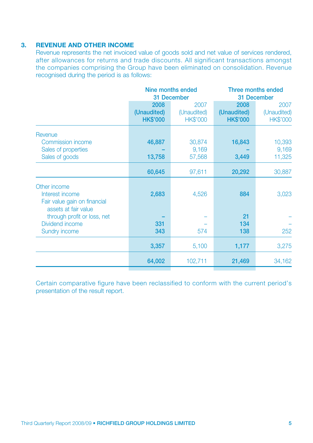#### **3. REVENUE AND OTHER INCOME**

Revenue represents the net invoiced value of goods sold and net value of services rendered, after allowances for returns and trade discounts. All significant transactions amongst the companies comprising the Group have been eliminated on consolidation. Revenue recognised during the period is as follows:

|                                                                                         | Nine months ended<br>31 December       |                                        | Three months ended<br>31 December      |                                        |
|-----------------------------------------------------------------------------------------|----------------------------------------|----------------------------------------|----------------------------------------|----------------------------------------|
|                                                                                         | 2008<br>(Unaudited)<br><b>HK\$'000</b> | 2007<br>(Unaudited)<br><b>HK\$'000</b> | 2008<br>(Unaudited)<br><b>HK\$'000</b> | 2007<br>(Unaudited)<br><b>HK\$'000</b> |
| Revenue<br>Commission income<br>Sales of properties<br>Sales of goods                   | 46,887<br>13,758                       | 30,874<br>9,169<br>57,568              | 16,843<br>3,449                        | 10,393<br>9,169<br>11,325              |
|                                                                                         | 60,645                                 | 97,611                                 | 20,292                                 | 30,887                                 |
| Other income<br>Interest income<br>Fair value gain on financial<br>assets at fair value | 2,683                                  | 4,526                                  | 884                                    | 3,023                                  |
| through profit or loss, net<br>Dividend income<br><b>Sundry income</b>                  | 331<br>343                             | 574                                    | 21<br>134<br>138                       | 252                                    |
|                                                                                         | 3,357                                  | 5,100                                  | 1,177                                  | 3,275                                  |
|                                                                                         | 64,002                                 | 102,711                                | 21,469                                 | 34,162                                 |
|                                                                                         |                                        |                                        |                                        |                                        |

Certain comparative figure have been reclassified to conform with the current period's presentation of the result report.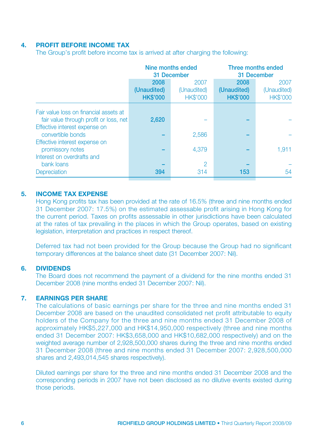#### **4. PROFIT BEFORE INCOME TAX**

The Group's profit before income tax is arrived at after charging the following:

|                                        |                 | Nine months ended<br>31 December | Three months ended<br>31 December |                 |
|----------------------------------------|-----------------|----------------------------------|-----------------------------------|-----------------|
|                                        | 2008            | 2007                             | 2008                              | 2007            |
|                                        | (Unaudited)     | (Unaudited)                      | (Unaudited)                       | (Unaudited)     |
|                                        | <b>HK\$'000</b> | <b>HK\$'000</b>                  | <b>HK\$'000</b>                   | <b>HK\$'000</b> |
| Fair value loss on financial assets at |                 |                                  |                                   |                 |
| fair value through profit or loss, net | 2,620           |                                  |                                   |                 |
| Effective interest expense on          |                 |                                  |                                   |                 |
| convertible bonds                      |                 | 2,586                            |                                   |                 |
| Effective interest expense on          |                 |                                  |                                   |                 |
| promissory notes                       |                 | 4.379                            |                                   | 1,911           |
| Interest on overdrafts and             |                 |                                  |                                   |                 |
| bank loans                             |                 | 2                                |                                   |                 |
| Depreciation                           | 394             | 314                              | 153                               | 54              |

#### **5. INCOME TAX EXPENSE**

Hong Kong profits tax has been provided at the rate of 16.5% (three and nine months ended 31 December 2007: 17.5%) on the estimated assessable profit arising in Hong Kong for the current period. Taxes on profits assessable in other jurisdictions have been calculated at the rates of tax prevailing in the places in which the Group operates, based on existing legislation, interpretation and practices in respect thereof.

Deferred tax had not been provided for the Group because the Group had no significant temporary differences at the balance sheet date (31 December 2007: Nil).

#### **6. DIVIDENDS**

The Board does not recommend the payment of a dividend for the nine months ended 31 December 2008 (nine months ended 31 December 2007: Nil).

#### **7. EARNINGS PER SHARE**

The calculations of basic earnings per share for the three and nine months ended 31 December 2008 are based on the unaudited consolidated net profit attributable to equity holders of the Company for the three and nine months ended 31 December 2008 of approximately HK\$5,227,000 and HK\$14,950,000 respectively (three and nine months ended 31 December 2007: HK\$3,658,000 and HK\$10,682,000 respectively) and on the weighted average number of 2,928,500,000 shares during the three and nine months ended 31 December 2008 (three and nine months ended 31 December 2007: 2,928,500,000 shares and 2,493,014,545 shares respectively).

Diluted earnings per share for the three and nine months ended 31 December 2008 and the corresponding periods in 2007 have not been disclosed as no dilutive events existed during those periods.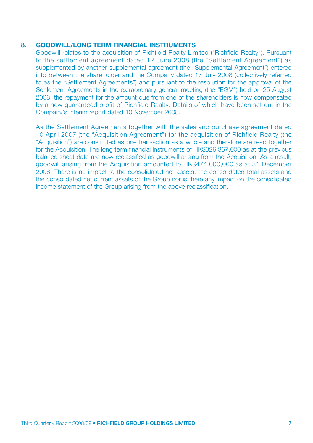#### **8. GOODWILL/LONG TERM FINANCIAL INSTRUMENTS**

Goodwill relates to the acquisition of Richfield Realty Limited ("Richfield Realty"). Pursuant to the settlement agreement dated 12 June 2008 (the "Settlement Agreement") as supplemented by another supplemental agreement (the "Supplemental Agreement") entered into between the shareholder and the Company dated 17 July 2008 (collectively referred to as the "Settlement Agreements") and pursuant to the resolution for the approval of the Settlement Agreements in the extraordinary general meeting (the "EGM") held on 25 August 2008, the repayment for the amount due from one of the shareholders is now compensated by a new guaranteed profit of Richfield Realty. Details of which have been set out in the Company's interim report dated 10 November 2008.

As the Settlement Agreements together with the sales and purchase agreement dated 10 April 2007 (the "Acquisition Agreement") for the acquisition of Richfield Realty (the "Acquisition") are constituted as one transaction as a whole and therefore are read together for the Acquisition. The long term financial instruments of HK\$326,367,000 as at the previous balance sheet date are now reclassified as goodwill arising from the Acquisition. As a result, goodwill arising from the Acquisition amounted to HK\$474,000,000 as at 31 December 2008. There is no impact to the consolidated net assets, the consolidated total assets and the consolidated net current assets of the Group nor is there any impact on the consolidated income statement of the Group arising from the above reclassification.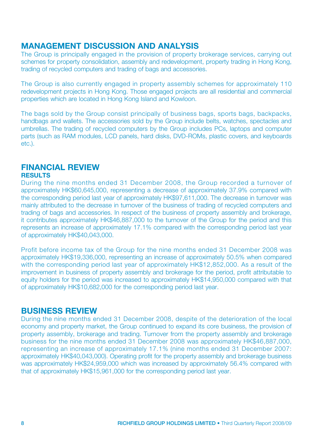## **MANAGEMENT DISCUSSION AND ANALYSIS**

The Group is principally engaged in the provision of property brokerage services, carrying out schemes for property consolidation, assembly and redevelopment, property trading in Hong Kong, trading of recycled computers and trading of bags and accessories.

The Group is also currently engaged in property assembly schemes for approximately 110 redevelopment projects in Hong Kong. Those engaged projects are all residential and commercial properties which are located in Hong Kong Island and Kowloon.

The bags sold by the Group consist principally of business bags, sports bags, backpacks, handbags and wallets. The accessories sold by the Group include belts, watches, spectacles and umbrellas. The trading of recycled computers by the Group includes PCs, laptops and computer parts (such as RAM modules, LCD panels, hard disks, DVD-ROMs, plastic covers, and keyboards etc.).

# **FINANCIAL REVIEW**

#### **RESULTS**

During the nine months ended 31 December 2008, the Group recorded a turnover of approximately HK\$60,645,000, representing a decrease of approximately 37.9% compared with the corresponding period last year of approximately HK\$97,611,000. The decrease in turnover was mainly attributed to the decrease in turnover of the business of trading of recycled computers and trading of bags and accessories. In respect of the business of property assembly and brokerage, it contributes approximately HK\$46,887,000 to the turnover of the Group for the period and this represents an increase of approximately 17.1% compared with the corresponding period last year of approximately HK\$40,043,000.

Profit before income tax of the Group for the nine months ended 31 December 2008 was approximately HK\$19,336,000, representing an increase of approximately 50.5% when compared with the corresponding period last year of approximately HK\$12,852,000. As a result of the improvement in business of property assembly and brokerage for the period, profit attributable to equity holders for the period was increased to approximately HK\$14,950,000 compared with that of approximately HK\$10,682,000 for the corresponding period last year.

## **BUSINESS REVIEW**

During the nine months ended 31 December 2008, despite of the deterioration of the local economy and property market, the Group continued to expand its core business, the provision of property assembly, brokerage and trading. Turnover from the property assembly and brokerage business for the nine months ended 31 December 2008 was approximately HK\$46,887,000, representing an increase of approximately 17.1% (nine months ended 31 December 2007: approximately HK\$40,043,000). Operating profit for the property assembly and brokerage business was approximately HK\$24,959,000 which was increased by approximately 56.4% compared with that of approximately HK\$15,961,000 for the corresponding period last year.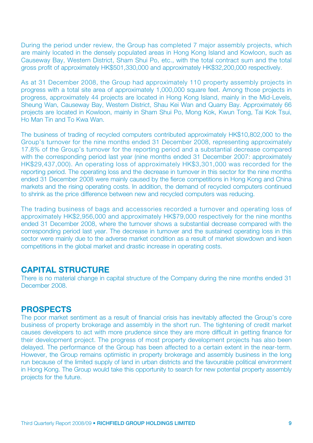During the period under review, the Group has completed 7 major assembly projects, which are mainly located in the densely populated areas in Hong Kong Island and Kowloon, such as Causeway Bay, Western District, Sham Shui Po, etc., with the total contract sum and the total gross profit of approximately HK\$501,330,000 and approximately HK\$32,200,000 respectively.

As at 31 December 2008, the Group had approximately 110 property assembly projects in progress with a total site area of approximately 1,000,000 square feet. Among those projects in progress, approximately 44 projects are located in Hong Kong Island, mainly in the Mid-Levels, Sheung Wan, Causeway Bay, Western District, Shau Kei Wan and Quarry Bay. Approximately 66 projects are located in Kowloon, mainly in Sham Shui Po, Mong Kok, Kwun Tong, Tai Kok Tsui, Ho Man Tin and To Kwa Wan.

The business of trading of recycled computers contributed approximately HK\$10,802,000 to the Group's turnover for the nine months ended 31 December 2008, representing approximately 17.8% of the Group's turnover for the reporting period and a substantial decrease compared with the corresponding period last year (nine months ended 31 December 2007: approximately HK\$29,437,000). An operating loss of approximately HK\$3,301,000 was recorded for the reporting period. The operating loss and the decrease in turnover in this sector for the nine months ended 31 December 2008 were mainly caused by the fierce competitions in Hong Kong and China markets and the rising operating costs. In addition, the demand of recycled computers continued to shrink as the price difference between new and recycled computers was reducing.

The trading business of bags and accessories recorded a turnover and operating loss of approximately HK\$2,956,000 and approximately HK\$79,000 respectively for the nine months ended 31 December 2008, where the turnover shows a substantial decrease compared with the corresponding period last year. The decrease in turnover and the sustained operating loss in this sector were mainly due to the adverse market condition as a result of market slowdown and keen competitions in the global market and drastic increase in operating costs.

## **CAPITAL STRUCTURE**

There is no material change in capital structure of the Company during the nine months ended 31 December 2008.

## **PROSPECTS**

The poor market sentiment as a result of financial crisis has inevitably affected the Group's core business of property brokerage and assembly in the short run. The tightening of credit market causes developers to act with more prudence since they are more difficult in getting finance for their development project. The progress of most property development projects has also been delayed. The performance of the Group has been affected to a certain extent in the near-term. However, the Group remains optimistic in property brokerage and assembly business in the long run because of the limited supply of land in urban districts and the favourable political environment in Hong Kong. The Group would take this opportunity to search for new potential property assembly projects for the future.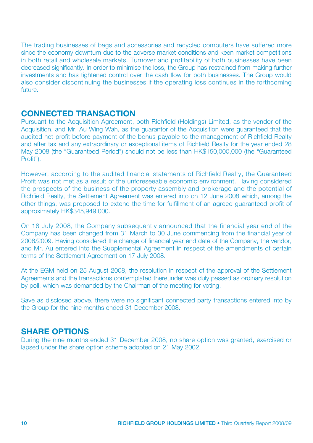The trading businesses of bags and accessories and recycled computers have suffered more since the economy downturn due to the adverse market conditions and keen market competitions in both retail and wholesale markets. Turnover and profitability of both businesses have been decreased significantly. In order to minimise the loss, the Group has restrained from making further investments and has tightened control over the cash flow for both businesses. The Group would also consider discontinuing the businesses if the operating loss continues in the forthcoming future.

## **CONNECTED TRANSACTION**

Pursuant to the Acquisition Agreement, both Richfield (Holdings) Limited, as the vendor of the Acquisition, and Mr. Au Wing Wah, as the guarantor of the Acquisition were guaranteed that the audited net profit before payment of the bonus payable to the management of Richfield Realty and after tax and any extraordinary or exceptional items of Richfield Realty for the year ended 28 May 2008 (the "Guaranteed Period") should not be less than HK\$150,000,000 (the "Guaranteed Profit").

However, according to the audited financial statements of Richfield Realty, the Guaranteed Profit was not met as a result of the unforeseeable economic environment. Having considered the prospects of the business of the property assembly and brokerage and the potential of Richfield Realty, the Settlement Agreement was entered into on 12 June 2008 which, among the other things, was proposed to extend the time for fulfillment of an agreed guaranteed profit of approximately HK\$345,949,000.

On 18 July 2008, the Company subsequently announced that the financial year end of the Company has been changed from 31 March to 30 June commencing from the financial year of 2008/2009. Having considered the change of financial year end date of the Company, the vendor, and Mr. Au entered into the Supplemental Agreement in respect of the amendments of certain terms of the Settlement Agreement on 17 July 2008.

At the EGM held on 25 August 2008, the resolution in respect of the approval of the Settlement Agreements and the transactions contemplated thereunder was duly passed as ordinary resolution by poll, which was demanded by the Chairman of the meeting for voting.

Save as disclosed above, there were no significant connected party transactions entered into by the Group for the nine months ended 31 December 2008.

## **SHARE OPTIONS**

During the nine months ended 31 December 2008, no share option was granted, exercised or lapsed under the share option scheme adopted on 21 May 2002.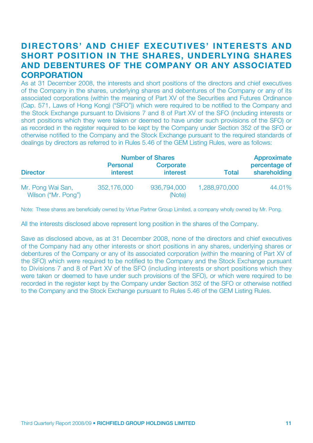# **DIRECTORS' AND CHIEF EXECUTIVES' INTERESTS AND SHORT POSITION IN THE SHARES, UNDERLYING SHARES AND DEBENTURES OF THE COMPANY OR ANY ASSOCIATED CORPORATION**

As at 31 December 2008, the interests and short positions of the directors and chief executives of the Company in the shares, underlying shares and debentures of the Company or any of its associated corporations (within the meaning of Part XV of the Securities and Futures Ordinance (Cap. 571, Laws of Hong Kong) ("SFO")) which were required to be notified to the Company and the Stock Exchange pursuant to Divisions 7 and 8 of Part XV of the SFO (including interests or short positions which they were taken or deemed to have under such provisions of the SFO) or as recorded in the register required to be kept by the Company under Section 352 of the SFO or otherwise notified to the Company and the Stock Exchange pursuant to the required standards of dealings by directors as referred to in Rules 5.46 of the GEM Listing Rules, were as follows:

|                                          |                             | <b>Number of Shares</b> |               | Approximate<br>percentage of<br>shareholding |
|------------------------------------------|-----------------------------|-------------------------|---------------|----------------------------------------------|
| <b>Director</b>                          | Personal<br><i>interest</i> | Corporate<br>interest   | <b>Total</b>  |                                              |
| Mr. Pong Wai San,<br>Wilson ("Mr. Pong") | 352.176.000                 | 936,794,000<br>(Note)   | 1.288.970.000 | 44.01%                                       |

Note: These shares are beneficially owned by Virtue Partner Group Limited, a company wholly owned by Mr. Pong.

All the interests disclosed above represent long position in the shares of the Company.

Save as disclosed above, as at 31 December 2008, none of the directors and chief executives of the Company had any other interests or short positions in any shares, underlying shares or debentures of the Company or any of its associated corporation (within the meaning of Part XV of the SFO) which were required to be notified to the Company and the Stock Exchange pursuant to Divisions 7 and 8 of Part XV of the SFO (including interests or short positions which they were taken or deemed to have under such provisions of the SFO), or which were required to be recorded in the register kept by the Company under Section 352 of the SFO or otherwise notified to the Company and the Stock Exchange pursuant to Rules 5.46 of the GEM Listing Rules.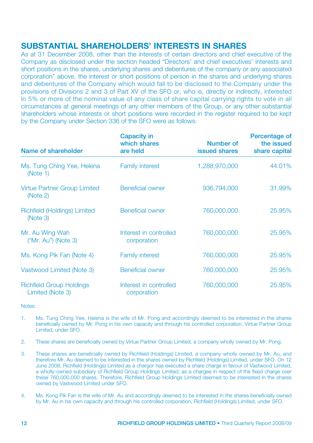# **SUBSTANTIAL SHAREHOLDERS' INTERESTS IN SHARES**

As at 31 December 2008, other than the interests of certain directors and chief executive of the Company as disclosed under the section headed "Directors' and chief executives' interests and short positions in the shares, underlying shares and debentures of the company or any associated corporation" above, the interest or short positions of person in the shares and underlying shares and debentures of the Company which would fall to be disclosed to the Company under the provisions of Divisions 2 and 3 of Part XV of the SFO or, who is, directly or indirectly, interested in 5% or more of the nominal value of any class of share capital carrying rights to vote in all circumstances at general meetings of any other members of the Group, or any other substantial shareholders whose interests or short positions were recorded in the register required to be kept by the Company under Section 336 of the SFO were as follows:

| Name of shareholder                                 | Capacity in<br>which shares<br>are held | Number of<br>issued shares | Percentage of<br>the issued<br>share capital |
|-----------------------------------------------------|-----------------------------------------|----------------------------|----------------------------------------------|
| Ms. Tung Ching Yee, Helena<br>(Note 1)              | <b>Family interest</b>                  | 1,288,970,000              | 44.01%                                       |
| <b>Virtue Partner Group Limited</b><br>(Note 2)     | Beneficial owner                        | 936,794,000                | 31.99%                                       |
| Richfield (Holdings) Limited<br>(Note 3)            | <b>Beneficial owner</b>                 | 760,000,000                | 25,95%                                       |
| Mr. Au Wing Wah<br>$('Mr. Au")$ (Note 3)            | Interest in controlled<br>corporation   | 760,000,000                | 25.95%                                       |
| Ms. Kong Pik Fan (Note 4)                           | <b>Family interest</b>                  | 760,000,000                | 25.95%                                       |
| Vastwood Limited (Note 3)                           | <b>Beneficial owner</b>                 | 760,000,000                | 25.95%                                       |
| <b>Richfield Group Holdings</b><br>Limited (Note 3) | Interest in controlled<br>corporation   | 760,000,000                | 25.95%                                       |

Notes:

- 1. Ms. Tung Ching Yee, Helena is the wife of Mr. Pong and accordingly deemed to be interested in the shares beneficially owned by Mr. Pong in his own capacity and through his controlled corporation, Virtue Partner Group Limited, under SFO.
- 2. These shares are beneficially owned by Virtue Partner Group Limited, a company wholly owned by Mr. Pong.
- 3. These shares are beneficially owned by Richfield (Holdings) Limited, a company wholly owned by Mr. Au, and therefore Mr. Au deemed to be interested in the shares owned by Richfield (Holdings) Limited, under SFO. On 12 June 2008, Richfield (Holdings) Limited as a chargor has executed a share charge in favour of Vastwood Limited, a wholly-owned subsidiary of Richfield Group Holdings Limited, as a chargee in respect of the fixed charge over these 760,000,000 shares. Therefore, Richfield Group Holdings Limited deemed to be interested in the shares owned by Vastwood Limited under SFO.
- 4. Ms. Kong Pik Fan is the wife of Mr. Au and accordingly deemed to be interested in the shares beneficially owned by Mr. Au in his own capacity and through his controlled corporation, Richfield (Holdings) Limited, under SFO.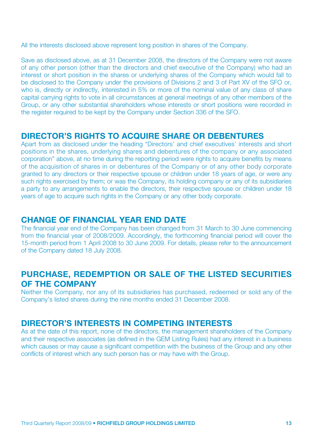All the interests disclosed above represent long position in shares of the Company.

Save as disclosed above, as at 31 December 2008, the directors of the Company were not aware of any other person (other than the directors and chief executive of the Company) who had an interest or short position in the shares or underlying shares of the Company which would fall to be disclosed to the Company under the provisions of Divisions 2 and 3 of Part XV of the SFO or, who is, directly or indirectly, interested in 5% or more of the nominal value of any class of share capital carrying rights to vote in all circumstances at general meetings of any other members of the Group, or any other substantial shareholders whose interests or short positions were recorded in the register required to be kept by the Company under Section 336 of the SFO.

## **DIRECTOR'S RIGHTS TO ACQUIRE SHARE OR DEBENTURES**

Apart from as disclosed under the heading "Directors' and chief executives' interests and short positions in the shares, underlying shares and debentures of the company or any associated corporation" above, at no time during the reporting period were rights to acquire benefits by means of the acquisition of shares in or debentures of the Company or of any other body corporate granted to any directors or their respective spouse or children under 18 years of age, or were any such rights exercised by them; or was the Company, its holding company or any of its subsidiaries a party to any arrangements to enable the directors, their respective spouse or children under 18 years of age to acquire such rights in the Company or any other body corporate.

## **CHANGE OF FINANCIAL YEAR END DATE**

The financial year end of the Company has been changed from 31 March to 30 June commencing from the financial year of 2008/2009. Accordingly, the forthcoming financial period will cover the 15-month period from 1 April 2008 to 30 June 2009. For details, please refer to the announcement of the Company dated 18 July 2008.

# **PURCHASE, REDEMPTION OR SALE OF THE LISTED SECURITIES OF THE COMPANY**

Neither the Company, nor any of its subsidiaries has purchased, redeemed or sold any of the Company's listed shares during the nine months ended 31 December 2008.

# **DIRECTOR'S INTERESTS IN COMPETING INTERESTS**

As at the date of this report, none of the directors, the management shareholders of the Company and their respective associates (as defined in the GEM Listing Rules) had any interest in a business which causes or may cause a significant competition with the business of the Group and any other conflicts of interest which any such person has or may have with the Group.